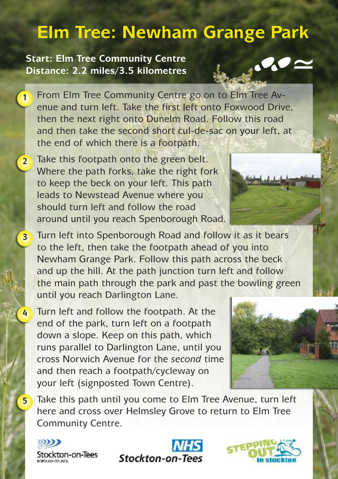## **Elm Tree: Newham Grange Park**

## **Start: Elm Tree Community Centre Distance: 2.2 miles/3.5 kilometres**

- From Elm Tree Community Centre go on to Elm Tree Avenue and turn left. Take the first left onto Foxwood Drive, then the next right onto Dunelm Road. Follow this road and then take the second short cul-de-sac on your left, at the end of which there is a footpath. **1**
- Take this footpath onto the green belt. Where the path forks, take the right fork to keep the beck on your left. This path leads to Newstead Avenue where you should turn left and follow the road around until you reach Spenborough Road. **2**



 $\sim$ 

- Turn left into Spenborough Road and follow it as it bears to the left, then take the footpath ahead of you into Newham Grange Park. Follow this path across the beck and up the hill. At the path junction turn left and follow the main path through the park and past the bowling green until you reach Darlington Lane.
- Turn left and follow the footpath. At the end of the park, turn left on a footpath down a slope. Keep on this path, which runs parallel to Darlington Lane, until you cross Norwich Avenue for the *second* time and then reach a footpath/cycleway on your left (signposted Town Centre).



Take this path until you come to Elm Tree Avenue, turn left here and cross over Helmsley Grove to return to Elm Tree Community Centre.



**3**

**4**

**5**